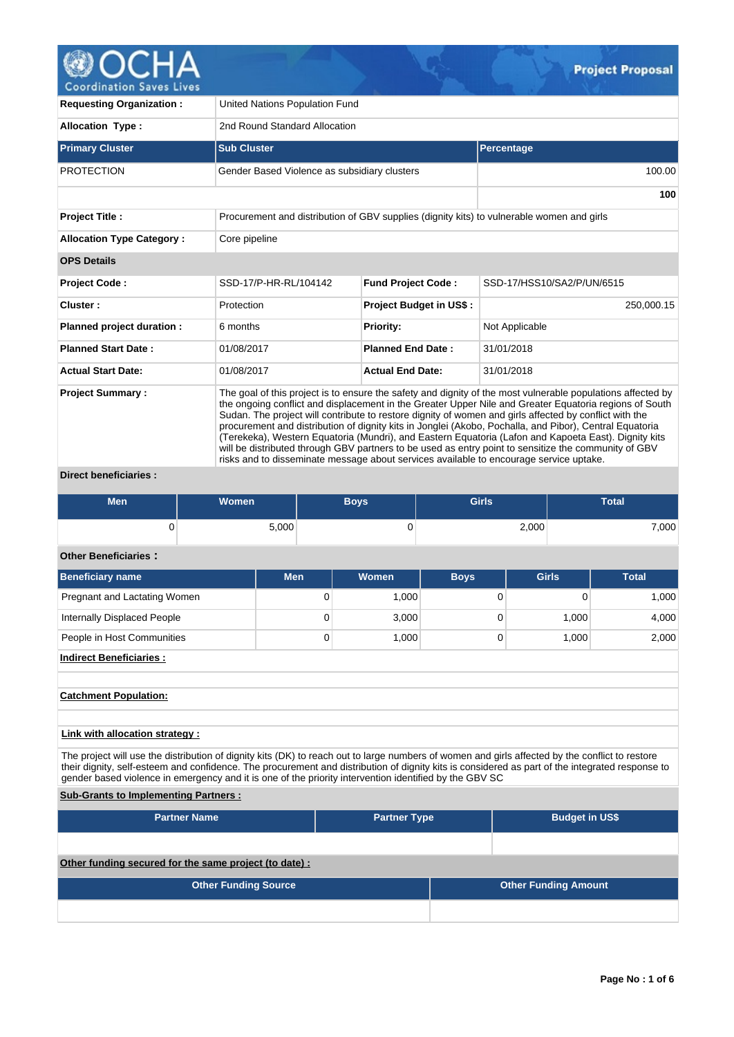

**Requesting Organization :** United Nations Population Fund **Allocation Type :** 2nd Round Standard Allocation **Primary Cluster Contract Cluster Sub Cluster Sub Cluster Sub Cluster Subset Cluster Subset Percentage** PROTECTION Gender Based Violence as subsidiary clusters 100.00 100.00 **100 Project Title :** Procurement and distribution of GBV supplies (dignity kits) to vulnerable women and girls **Allocation Type Category : Core pipeline OPS Details Project Code :** SSD-17/P-HR-RL/104142 **Fund Project Code :** SSD-17/HSS10/SA2/P/UN/6515 **Cluster :** Protection **Project Budget in US\$ :** 250,000.15 **Planned project duration :** 6 months **Priority:** Not Applicable **Planned Start Date :** 01/08/2017 **Planned End Date :** 31/01/2018 **Actual Start Date:** 01/08/2017 **Actual End Date:** 31/01/2018 **Project Summary :** The goal of this project is to ensure the safety and dignity of the most vulnerable populations affected by the ongoing conflict and displacement in the Greater Upper Nile and Greater Equatoria regions of South Sudan. The project will contribute to restore dignity of women and girls affected by conflict with the procurement and distribution of dignity kits in Jonglei (Akobo, Pochalla, and Pibor), Central Equatoria (Terekeka), Western Equatoria (Mundri), and Eastern Equatoria (Lafon and Kapoeta East). Dignity kits will be distributed through GBV partners to be used as entry point to sensitize the community of GBV risks and to disseminate message about services available to encourage service uptake.

## **Direct beneficiaries :**

| <b>Men</b> | <b>Women</b> | Boys | <b>Girls</b> | Total |
|------------|--------------|------|--------------|-------|
|            | 5,000        | u    | 2,000        | 7,000 |

#### **Other Beneficiaries :**

| Beneficiary name               | <b>Men</b> | <b>Women</b> | <b>Boys</b> | <b>Girls</b> | <b>Total</b> |
|--------------------------------|------------|--------------|-------------|--------------|--------------|
| Pregnant and Lactating Women   | 0          | 1,000        |             | 0            | 1,000        |
| Internally Displaced People    | 0          | 3,000        |             | 1,000        | 4,000        |
| People in Host Communities     | 0          | 1,000        |             | 1,000        | 2,000        |
| <b>Indirect Beneficiaries:</b> |            |              |             |              |              |
| <b>Catchment Population:</b>   |            |              |             |              |              |
|                                |            |              |             |              |              |

## **Link with allocation strategy :**

The project will use the distribution of dignity kits (DK) to reach out to large numbers of women and girls affected by the conflict to restore their dignity, self-esteem and confidence. The procurement and distribution of dignity kits is considered as part of the integrated response to gender based violence in emergency and it is one of the priority intervention identified by the GBV SC

## **Sub-Grants to Implementing Partners :**

| <b>Partner Name</b>                                   | <b>Partner Type</b> |  | <b>Budget in US\$</b>       |
|-------------------------------------------------------|---------------------|--|-----------------------------|
|                                                       |                     |  |                             |
| Other funding secured for the same project (to date): |                     |  |                             |
| <b>Other Funding Source</b>                           |                     |  | <b>Other Funding Amount</b> |
|                                                       |                     |  |                             |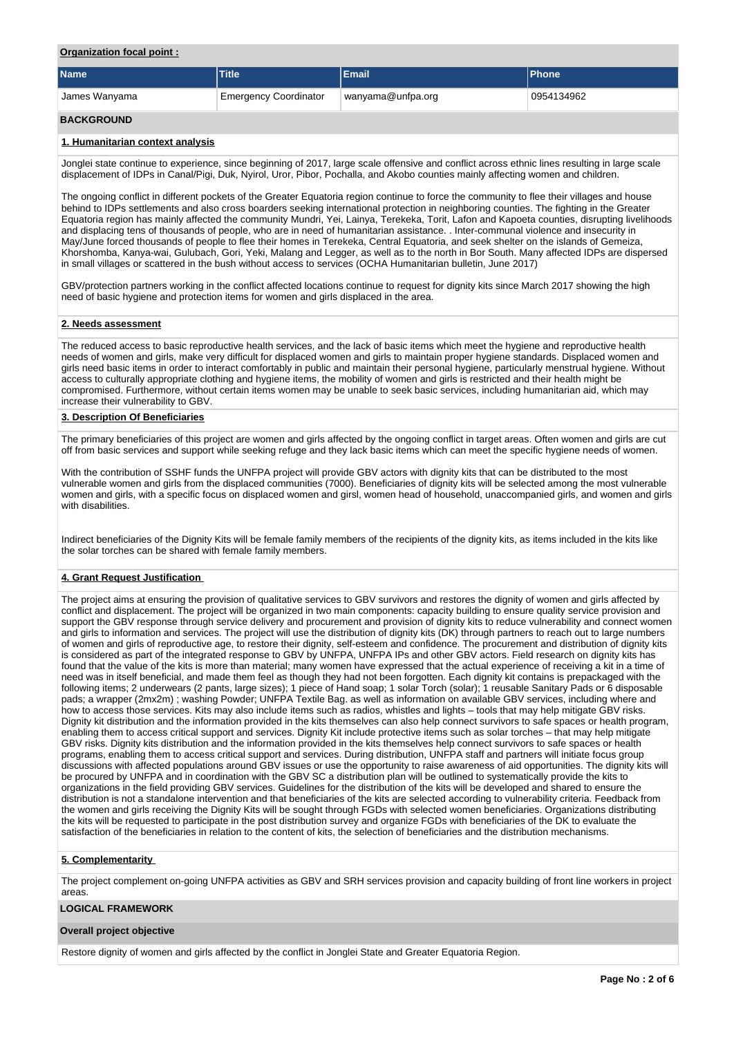## **Organization focal point :**

| <b>Name</b>       | Title                        | <b>Email</b>      | <b>Phone</b> |
|-------------------|------------------------------|-------------------|--------------|
| James Wanyama     | <b>Emergency Coordinator</b> | wanyama@unfpa.org | 0954134962   |
| <b>BACKGROUND</b> |                              |                   |              |

### **1. Humanitarian context analysis**

Jonglei state continue to experience, since beginning of 2017, large scale offensive and conflict across ethnic lines resulting in large scale displacement of IDPs in Canal/Pigi, Duk, Nyirol, Uror, Pibor, Pochalla, and Akobo counties mainly affecting women and children.

The ongoing conflict in different pockets of the Greater Equatoria region continue to force the community to flee their villages and house behind to IDPs settlements and also cross boarders seeking international protection in neighboring counties. The fighting in the Greater Equatoria region has mainly affected the community Mundri, Yei, Lainya, Terekeka, Torit, Lafon and Kapoeta counties, disrupting livelihoods and displacing tens of thousands of people, who are in need of humanitarian assistance. . Inter-communal violence and insecurity in May/June forced thousands of people to flee their homes in Terekeka, Central Equatoria, and seek shelter on the islands of Gemeiza, Khorshomba, Kanya-wai, Gulubach, Gori, Yeki, Malang and Legger, as well as to the north in Bor South. Many affected IDPs are dispersed in small villages or scattered in the bush without access to services (OCHA Humanitarian bulletin, June 2017)

GBV/protection partners working in the conflict affected locations continue to request for dignity kits since March 2017 showing the high need of basic hygiene and protection items for women and girls displaced in the area.

#### **2. Needs assessment**

The reduced access to basic reproductive health services, and the lack of basic items which meet the hygiene and reproductive health needs of women and girls, make very difficult for displaced women and girls to maintain proper hygiene standards. Displaced women and girls need basic items in order to interact comfortably in public and maintain their personal hygiene, particularly menstrual hygiene. Without access to culturally appropriate clothing and hygiene items, the mobility of women and girls is restricted and their health might be compromised. Furthermore, without certain items women may be unable to seek basic services, including humanitarian aid, which may increase their vulnerability to GBV.

## **3. Description Of Beneficiaries**

The primary beneficiaries of this project are women and girls affected by the ongoing conflict in target areas. Often women and girls are cut off from basic services and support while seeking refuge and they lack basic items which can meet the specific hygiene needs of women.

With the contribution of SSHF funds the UNFPA project will provide GBV actors with dignity kits that can be distributed to the most vulnerable women and girls from the displaced communities (7000). Beneficiaries of dignity kits will be selected among the most vulnerable women and girls, with a specific focus on displaced women and girsl, women head of household, unaccompanied girls, and women and girls with disabilities.

Indirect beneficiaries of the Dignity Kits will be female family members of the recipients of the dignity kits, as items included in the kits like the solar torches can be shared with female family members.

## **4. Grant Request Justification**

The project aims at ensuring the provision of qualitative services to GBV survivors and restores the dignity of women and girls affected by conflict and displacement. The project will be organized in two main components: capacity building to ensure quality service provision and support the GBV response through service delivery and procurement and provision of dignity kits to reduce vulnerability and connect women and girls to information and services. The project will use the distribution of dignity kits (DK) through partners to reach out to large numbers of women and girls of reproductive age, to restore their dignity, self-esteem and confidence. The procurement and distribution of dignity kits is considered as part of the integrated response to GBV by UNFPA, UNFPA IPs and other GBV actors. Field research on dignity kits has found that the value of the kits is more than material; many women have expressed that the actual experience of receiving a kit in a time of need was in itself beneficial, and made them feel as though they had not been forgotten. Each dignity kit contains is prepackaged with the following items; 2 underwears (2 pants, large sizes); 1 piece of Hand soap; 1 solar Torch (solar); 1 reusable Sanitary Pads or 6 disposable pads; a wrapper (2mx2m); washing Powder; UNFPA Textile Bag. as well as information on available GBV services, including where and how to access those services. Kits may also include items such as radios, whistles and lights – tools that may help mitigate GBV risks. Dignity kit distribution and the information provided in the kits themselves can also help connect survivors to safe spaces or health program, enabling them to access critical support and services. Dignity Kit include protective items such as solar torches – that may help mitigate GBV risks. Dignity kits distribution and the information provided in the kits themselves help connect survivors to safe spaces or health programs, enabling them to access critical support and services. During distribution, UNFPA staff and partners will initiate focus group discussions with affected populations around GBV issues or use the opportunity to raise awareness of aid opportunities. The dignity kits will be procured by UNFPA and in coordination with the GBV SC a distribution plan will be outlined to systematically provide the kits to organizations in the field providing GBV services. Guidelines for the distribution of the kits will be developed and shared to ensure the distribution is not a standalone intervention and that beneficiaries of the kits are selected according to vulnerability criteria. Feedback from the women and girls receiving the Dignity Kits will be sought through FGDs with selected women beneficiaries. Organizations distributing the kits will be requested to participate in the post distribution survey and organize FGDs with beneficiaries of the DK to evaluate the satisfaction of the beneficiaries in relation to the content of kits, the selection of beneficiaries and the distribution mechanisms.

## **5. Complementarity**

The project complement on-going UNFPA activities as GBV and SRH services provision and capacity building of front line workers in project areas.

## **LOGICAL FRAMEWORK**

## **Overall project objective**

Restore dignity of women and girls affected by the conflict in Jonglei State and Greater Equatoria Region.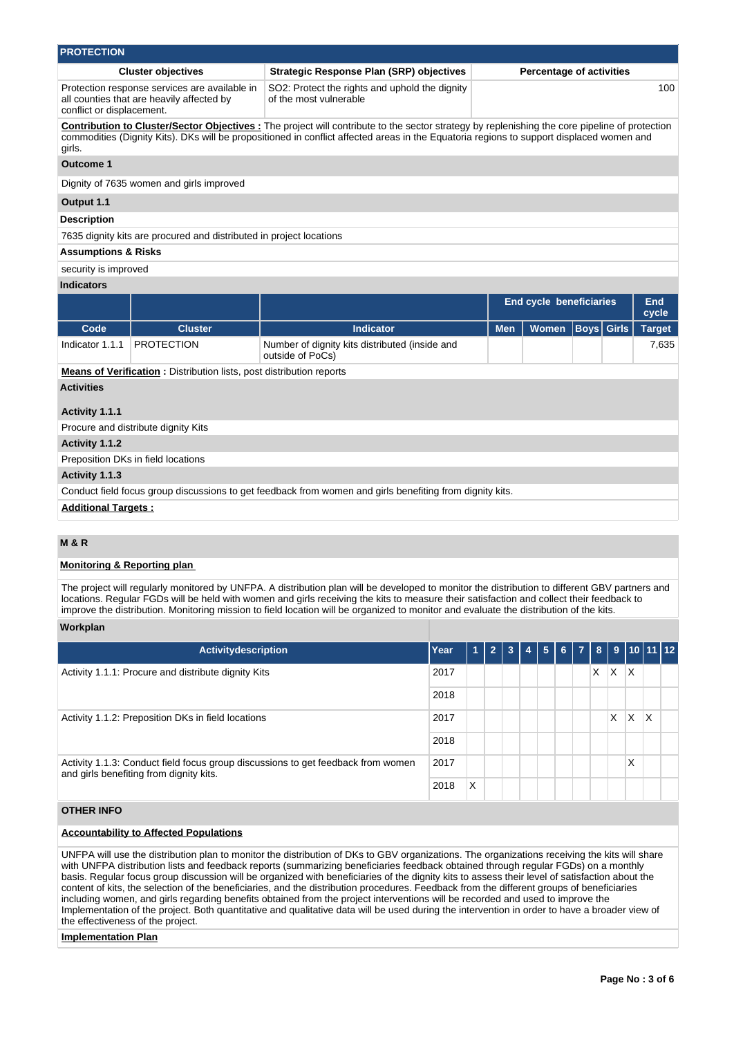| <b>PROTECTION</b>              |                                                                                            |                                                                                                                                                                                                                                                                                                   |            |                                |                   |  |               |  |  |  |
|--------------------------------|--------------------------------------------------------------------------------------------|---------------------------------------------------------------------------------------------------------------------------------------------------------------------------------------------------------------------------------------------------------------------------------------------------|------------|--------------------------------|-------------------|--|---------------|--|--|--|
|                                | <b>Cluster objectives</b>                                                                  | <b>Percentage of activities</b><br><b>Strategic Response Plan (SRP) objectives</b>                                                                                                                                                                                                                |            |                                |                   |  |               |  |  |  |
| conflict or displacement.      | Protection response services are available in<br>all counties that are heavily affected by | SO2: Protect the rights and uphold the dignity<br>100<br>of the most vulnerable                                                                                                                                                                                                                   |            |                                |                   |  |               |  |  |  |
| girls.                         |                                                                                            | <b>Contribution to Cluster/Sector Objectives</b> : The project will contribute to the sector strategy by replenishing the core pipeline of protection<br>commodities (Dignity Kits). DKs will be propositioned in conflict affected areas in the Equatoria regions to support displaced women and |            |                                |                   |  |               |  |  |  |
| Outcome 1                      |                                                                                            |                                                                                                                                                                                                                                                                                                   |            |                                |                   |  |               |  |  |  |
|                                | Dignity of 7635 women and girls improved                                                   |                                                                                                                                                                                                                                                                                                   |            |                                |                   |  |               |  |  |  |
| Output 1.1                     |                                                                                            |                                                                                                                                                                                                                                                                                                   |            |                                |                   |  |               |  |  |  |
| <b>Description</b>             |                                                                                            |                                                                                                                                                                                                                                                                                                   |            |                                |                   |  |               |  |  |  |
|                                | 7635 dignity kits are procured and distributed in project locations                        |                                                                                                                                                                                                                                                                                                   |            |                                |                   |  |               |  |  |  |
| <b>Assumptions &amp; Risks</b> |                                                                                            |                                                                                                                                                                                                                                                                                                   |            |                                |                   |  |               |  |  |  |
| security is improved           |                                                                                            |                                                                                                                                                                                                                                                                                                   |            |                                |                   |  |               |  |  |  |
| <b>Indicators</b>              |                                                                                            |                                                                                                                                                                                                                                                                                                   |            |                                |                   |  |               |  |  |  |
|                                |                                                                                            |                                                                                                                                                                                                                                                                                                   |            | <b>End cycle beneficiaries</b> |                   |  | End<br>cycle  |  |  |  |
| Code                           | <b>Cluster</b>                                                                             | <b>Indicator</b>                                                                                                                                                                                                                                                                                  | <b>Men</b> | Women                          | <b>Boys</b> Girls |  | <b>Target</b> |  |  |  |
| Indicator 1.1.1                | <b>PROTECTION</b>                                                                          | Number of dignity kits distributed (inside and<br>outside of PoCs)                                                                                                                                                                                                                                |            |                                |                   |  | 7.635         |  |  |  |
|                                | <b>Means of Verification:</b> Distribution lists, post distribution reports                |                                                                                                                                                                                                                                                                                                   |            |                                |                   |  |               |  |  |  |
| <b>Activities</b>              |                                                                                            |                                                                                                                                                                                                                                                                                                   |            |                                |                   |  |               |  |  |  |
| Activity 1.1.1                 |                                                                                            |                                                                                                                                                                                                                                                                                                   |            |                                |                   |  |               |  |  |  |
|                                | Procure and distribute dignity Kits                                                        |                                                                                                                                                                                                                                                                                                   |            |                                |                   |  |               |  |  |  |
| Activity 1.1.2                 |                                                                                            |                                                                                                                                                                                                                                                                                                   |            |                                |                   |  |               |  |  |  |
|                                | Preposition DKs in field locations                                                         |                                                                                                                                                                                                                                                                                                   |            |                                |                   |  |               |  |  |  |
| Activity 1.1.3                 |                                                                                            |                                                                                                                                                                                                                                                                                                   |            |                                |                   |  |               |  |  |  |
|                                |                                                                                            | Conduct field focus group discussions to get feedback from women and girls benefiting from dignity kits.                                                                                                                                                                                          |            |                                |                   |  |               |  |  |  |

**Additional Targets :**

## **M & R**

## **Monitoring & Reporting plan**

The project will regularly monitored by UNFPA. A distribution plan will be developed to monitor the distribution to different GBV partners and locations. Regular FGDs will be held with women and girls receiving the kits to measure their satisfaction and collect their feedback to improve the distribution. Monitoring mission to field location will be organized to monitor and evaluate the distribution of the kits.

## **Workplan**

| <b>Activitydescription</b>                                                                                                  | Year | А | $\overline{2}$ | 3 | 4 | 5 <sup>1</sup> | $6 \mid 7$ | 8 <sup>1</sup> |   |          | 9   10   11   12 |  |
|-----------------------------------------------------------------------------------------------------------------------------|------|---|----------------|---|---|----------------|------------|----------------|---|----------|------------------|--|
| Activity 1.1.1: Procure and distribute dignity Kits                                                                         | 2017 |   |                |   |   |                |            | X              | X | $\times$ |                  |  |
|                                                                                                                             | 2018 |   |                |   |   |                |            |                |   |          |                  |  |
| Activity 1.1.2: Preposition DKs in field locations                                                                          |      |   |                |   |   |                |            |                | X | X        | X                |  |
|                                                                                                                             | 2018 |   |                |   |   |                |            |                |   |          |                  |  |
| Activity 1.1.3: Conduct field focus group discussions to get feedback from women<br>and girls benefiting from dignity kits. |      |   |                |   |   |                |            |                |   | X        |                  |  |
|                                                                                                                             | 2018 | X |                |   |   |                |            |                |   |          |                  |  |

# **OTHER INFO**

## **Accountability to Affected Populations**

UNFPA will use the distribution plan to monitor the distribution of DKs to GBV organizations. The organizations receiving the kits will share with UNFPA distribution lists and feedback reports (summarizing beneficiaries feedback obtained through regular FGDs) on a monthly basis. Regular focus group discussion will be organized with beneficiaries of the dignity kits to assess their level of satisfaction about the content of kits, the selection of the beneficiaries, and the distribution procedures. Feedback from the different groups of beneficiaries including women, and girls regarding benefits obtained from the project interventions will be recorded and used to improve the Implementation of the project. Both quantitative and qualitative data will be used during the intervention in order to have a broader view of the effectiveness of the project.

## **Implementation Plan**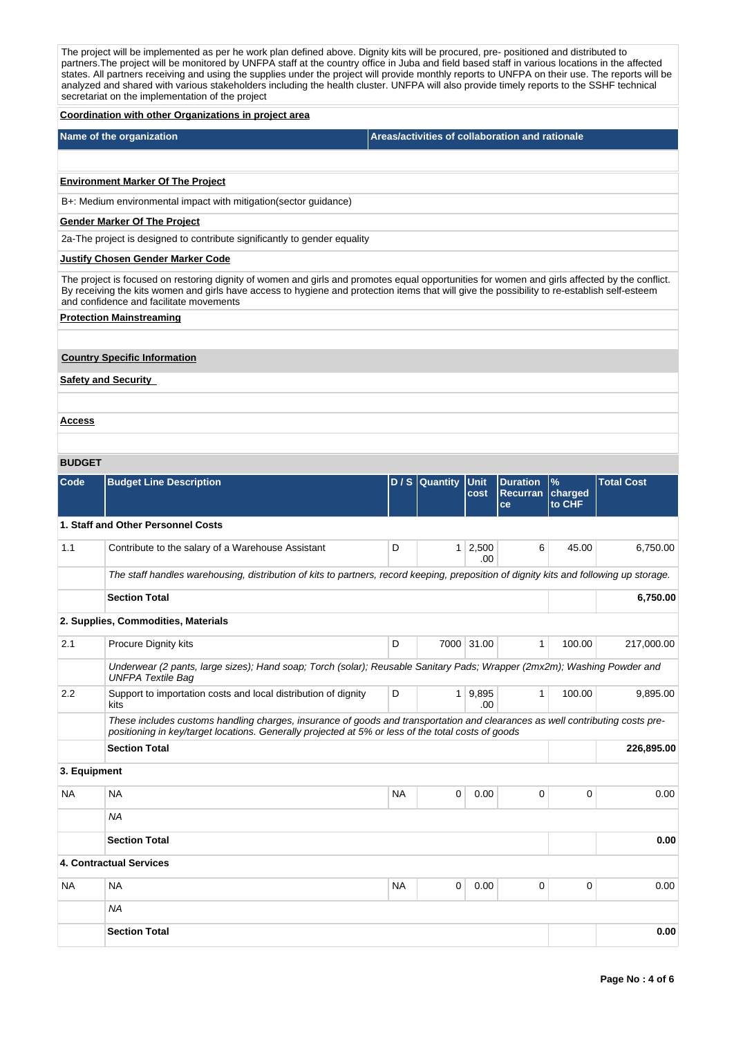**Coordination with other Organizations in project area Name of the organization Areas/activities of collaboration and rationale** The project will be implemented as per he work plan defined above. Dignity kits will be procured, pre- positioned and distributed to partners.The project will be monitored by UNFPA staff at the country office in Juba and field based staff in various locations in the affected states. All partners receiving and using the supplies under the project will provide monthly reports to UNFPA on their use. The reports will be analyzed and shared with various stakeholders including the health cluster. UNFPA will also provide timely reports to the SSHF technical secretariat on the implementation of the project **BUDGET Code Budget Line Description D / S Quantity Unit cost Duration Recurran charged ce % to CHF Total Cost 1. Staff and Other Personnel Costs** 1.1 Contribute to the salary of a Warehouse Assistant The Contribute to the salary of a Warehouse Assistant .00 6 45.00 6,750.00 The staff handles warehousing, distribution of kits to partners, record keeping, preposition of dignity kits and following up storage. **Section Total 6,750.00 2. Supplies, Commodities, Materials** 2.1 Procure Dignity kits **D D** 7000 31.00 1 100.00 217,000.00 Underwear (2 pants, large sizes); Hand soap; Torch (solar); Reusable Sanitary Pads; Wrapper (2mx2m); Washing Powder and UNFPA Textile Bag **Environment Marker Of The Project** B+: Medium environmental impact with mitigation(sector guidance) **Gender Marker Of The Project** 2a-The project is designed to contribute significantly to gender equality **Justify Chosen Gender Marker Code** The project is focused on restoring dignity of women and girls and promotes equal opportunities for women and girls affected by the conflict. By receiving the kits women and girls have access to hygiene and protection items that will give the possibility to re-establish self-esteem and confidence and facilitate movements **Protection Mainstreaming Country Specific Information Safety and Security Access**

| 2.2          | Support to importation costs and local distribution of dignity<br>kits                                                                                                                                                              | D         | $\mathbf{1}$ | 9,895<br>.00 |             | 100.00   | 9,895.00   |
|--------------|-------------------------------------------------------------------------------------------------------------------------------------------------------------------------------------------------------------------------------------|-----------|--------------|--------------|-------------|----------|------------|
|              | These includes customs handling charges, insurance of goods and transportation and clearances as well contributing costs pre-<br>positioning in key/target locations. Generally projected at 5% or less of the total costs of goods |           |              |              |             |          |            |
|              | <b>Section Total</b>                                                                                                                                                                                                                |           |              |              |             |          | 226,895.00 |
| 3. Equipment |                                                                                                                                                                                                                                     |           |              |              |             |          |            |
| <b>NA</b>    | <b>NA</b>                                                                                                                                                                                                                           | <b>NA</b> | 0            | 0.00         | 0           | 0        | 0.00       |
|              | <b>NA</b>                                                                                                                                                                                                                           |           |              |              |             |          |            |
|              | <b>Section Total</b>                                                                                                                                                                                                                |           |              |              |             |          | 0.00       |
|              | 4. Contractual Services                                                                                                                                                                                                             |           |              |              |             |          |            |
| <b>NA</b>    | <b>NA</b>                                                                                                                                                                                                                           | <b>NA</b> | $\mathbf 0$  | 0.00         | $\mathbf 0$ | $\Omega$ | 0.00       |
|              | NA                                                                                                                                                                                                                                  |           |              |              |             |          |            |
|              | <b>Section Total</b>                                                                                                                                                                                                                |           |              |              |             |          | 0.00       |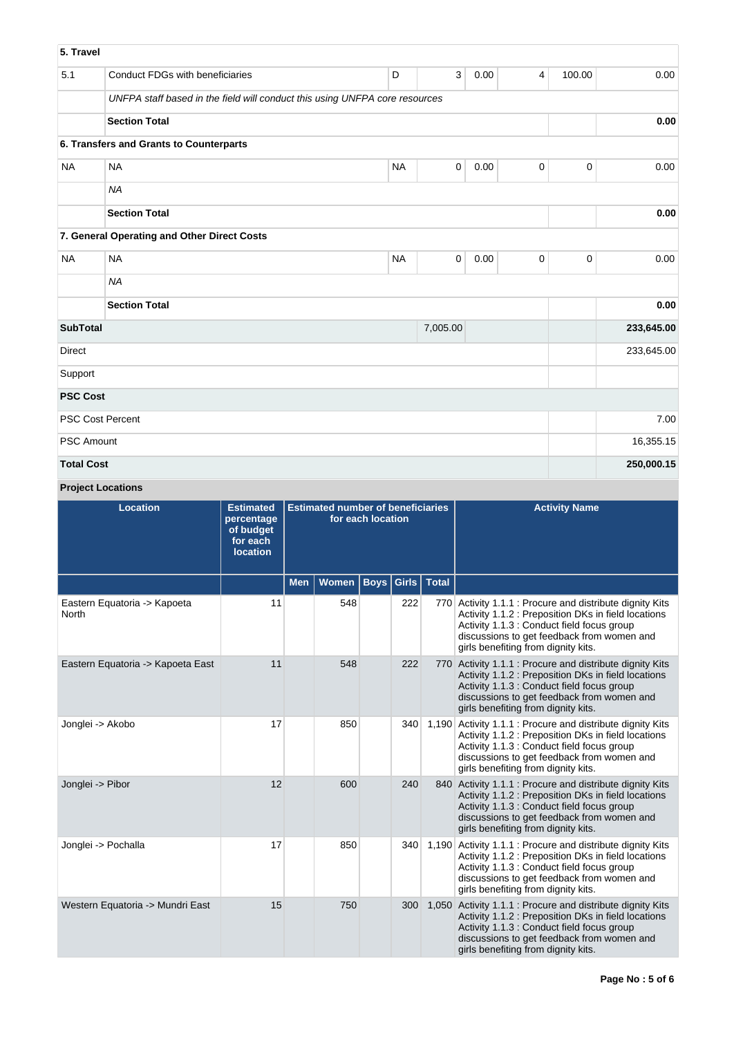| 5. Travel         |                                                                             |           |             |      |                |             |            |
|-------------------|-----------------------------------------------------------------------------|-----------|-------------|------|----------------|-------------|------------|
| 5.1               | <b>Conduct FDGs with beneficiaries</b>                                      | D         | 3           | 0.00 | $\overline{4}$ | 100.00      | 0.00       |
|                   | UNFPA staff based in the field will conduct this using UNFPA core resources |           |             |      |                |             |            |
|                   | <b>Section Total</b>                                                        |           |             |      |                |             | 0.00       |
|                   | 6. Transfers and Grants to Counterparts                                     |           |             |      |                |             |            |
| <b>NA</b>         | <b>NA</b>                                                                   | <b>NA</b> | $\mathbf 0$ | 0.00 | $\pmb{0}$      | $\mathbf 0$ | 0.00       |
|                   | <b>NA</b>                                                                   |           |             |      |                |             |            |
|                   | <b>Section Total</b>                                                        |           |             |      |                |             | 0.00       |
|                   | 7. General Operating and Other Direct Costs                                 |           |             |      |                |             |            |
| <b>NA</b>         | <b>NA</b>                                                                   | <b>NA</b> | $\mathbf 0$ | 0.00 | $\mathbf 0$    | $\mathbf 0$ | 0.00       |
|                   | <b>NA</b>                                                                   |           |             |      |                |             |            |
|                   | <b>Section Total</b>                                                        |           |             |      |                |             | 0.00       |
| <b>SubTotal</b>   |                                                                             |           | 7,005.00    |      |                |             | 233,645.00 |
| <b>Direct</b>     |                                                                             |           |             |      |                |             | 233,645.00 |
| Support           |                                                                             |           |             |      |                |             |            |
| <b>PSC Cost</b>   |                                                                             |           |             |      |                |             |            |
|                   | <b>PSC Cost Percent</b>                                                     |           |             |      |                |             | 7.00       |
| <b>PSC Amount</b> |                                                                             |           |             |      |                |             | 16,355.15  |
| <b>Total Cost</b> |                                                                             |           |             |      |                |             | 250,000.15 |

# **Project Locations**

| <b>Location</b>                       | <b>Estimated</b><br>percentage<br>of budget<br>for each<br><b>location</b> | <b>Estimated number of beneficiaries</b><br>for each location |       |             |       |              | <b>Activity Name</b>                                                                                                                                                                                                                                 |
|---------------------------------------|----------------------------------------------------------------------------|---------------------------------------------------------------|-------|-------------|-------|--------------|------------------------------------------------------------------------------------------------------------------------------------------------------------------------------------------------------------------------------------------------------|
|                                       |                                                                            | <b>Men</b>                                                    | Women | <b>Boys</b> | Girls | <b>Total</b> |                                                                                                                                                                                                                                                      |
| Eastern Equatoria -> Kapoeta<br>North | 11                                                                         |                                                               | 548   |             | 222   |              | 770 Activity 1.1.1 : Procure and distribute dignity Kits<br>Activity 1.1.2 : Preposition DKs in field locations<br>Activity 1.1.3 : Conduct field focus group<br>discussions to get feedback from women and<br>girls benefiting from dignity kits.   |
| Eastern Equatoria -> Kapoeta East     | 11                                                                         |                                                               | 548   |             | 222   |              | 770 Activity 1.1.1 : Procure and distribute dignity Kits<br>Activity 1.1.2 : Preposition DKs in field locations<br>Activity 1.1.3 : Conduct field focus group<br>discussions to get feedback from women and<br>girls benefiting from dignity kits.   |
| Jonglei -> Akobo                      | 17                                                                         |                                                               | 850   |             | 340   | 1,190        | Activity 1.1.1 : Procure and distribute dignity Kits<br>Activity 1.1.2 : Preposition DKs in field locations<br>Activity 1.1.3 : Conduct field focus group<br>discussions to get feedback from women and<br>girls benefiting from dignity kits.       |
| Jonglei -> Pibor                      | 12                                                                         |                                                               | 600   |             | 240   |              | 840 Activity 1.1.1 : Procure and distribute dignity Kits<br>Activity 1.1.2 : Preposition DKs in field locations<br>Activity 1.1.3 : Conduct field focus group<br>discussions to get feedback from women and<br>girls benefiting from dignity kits.   |
| Jonglei -> Pochalla                   | 17                                                                         |                                                               | 850   |             | 340   | 1.190        | Activity 1.1.1 : Procure and distribute dignity Kits<br>Activity 1.1.2 : Preposition DKs in field locations<br>Activity 1.1.3 : Conduct field focus group<br>discussions to get feedback from women and<br>girls benefiting from dignity kits.       |
| Western Equatoria -> Mundri East      | 15                                                                         |                                                               | 750   |             | 300   |              | 1,050 Activity 1.1.1 : Procure and distribute dignity Kits<br>Activity 1.1.2 : Preposition DKs in field locations<br>Activity 1.1.3 : Conduct field focus group<br>discussions to get feedback from women and<br>girls benefiting from dignity kits. |